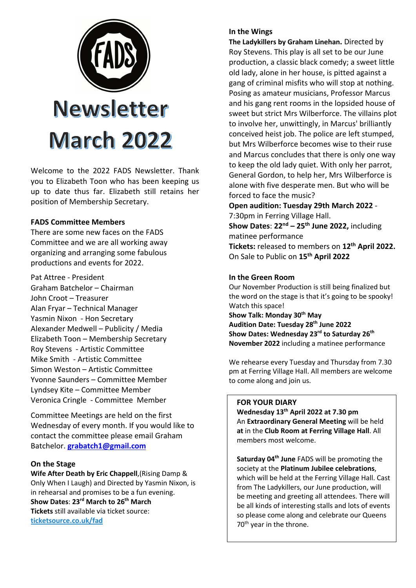

Welcome to the 2022 FADS Newsletter. Thank you to Elizabeth Toon who has been keeping us up to date thus far. Elizabeth still retains her position of Membership Secretary.

## **FADS Committee Members**

There are some new faces on the FADS Committee and we are all working away organizing and arranging some fabulous productions and events for 2022.

Pat Attree - President Graham Batchelor – Chairman John Croot – Treasurer Alan Fryar – Technical Manager Yasmin Nixon - Hon Secretary Alexander Medwell – Publicity / Media Elizabeth Toon – Membership Secretary Roy Stevens - Artistic Committee Mike Smith - Artistic Committee Simon Weston – Artistic Committee Yvonne Saunders – Committee Member Lyndsey Kite – Committee Member Veronica Cringle - Committee Member

Committee Meetings are held on the first Wednesday of every month. If you would like to contact the committee please email Graham Batchelor. **grabatch1@gmail.com**

## **On the Stage**

**Wife After Death by Eric Chappell**,(Rising Damp & Only When I Laugh) and Directed by Yasmin Nixon, is in rehearsal and promises to be a fun evening. **Show Dates**: **23rd March to 26th March Tickets** still available via ticket source: **ticketsource.co.uk/fad**

#### **In the Wings**

**The Ladykillers by Graham Linehan.** Directed by Roy Stevens. This play is all set to be our June production, a classic black comedy; a sweet little old lady, alone in her house, is pitted against a gang of criminal misfits who will stop at nothing. Posing as amateur musicians, Professor Marcus and his gang rent rooms in the lopsided house of sweet but strict Mrs Wilberforce. The villains plot to involve her, unwittingly, in Marcus' brilliantly conceived heist job. The police are left stumped, but Mrs Wilberforce becomes wise to their ruse and Marcus concludes that there is only one way to keep the old lady quiet. With only her parrot, General Gordon, to help her, Mrs Wilberforce is alone with five desperate men. But who will be forced to face the music?

**Open audition: Tuesday 29th March 2022** - 7:30pm in Ferring Village Hall.

**Show Dates**: **22nd – 25th June 2022,** including matinee performance **Tickets:** released to members on **12th April 2022.** On Sale to Public on **15th April 2022**

## **In the Green Room**

Our November Production is still being finalized but the word on the stage is that it's going to be spooky! Watch this space!

**Show Talk: Monday 30th May Audition Date: Tuesday 28th June 2022 Show Dates: Wednesday 23rd to Saturday 26th November 2022** including a matinee performance

We rehearse every Tuesday and Thursday from 7.30 pm at Ferring Village Hall. All members are welcome to come along and join us.

## **FOR YOUR DIARY**

**Wednesday 13th April 2022 at 7.30 pm**  An **Extraordinary General Meeting** will be held **at** in the **Club Room at Ferring Village Hall**. All members most welcome.

**Saturday 04th June** FADS will be promoting the society at the **Platinum Jubilee celebrations**, which will be held at the Ferring Village Hall. Cast from The Ladykillers, our June production, will be meeting and greeting all attendees. There will be all kinds of interesting stalls and lots of events so please come along and celebrate our Queens 70<sup>th</sup> year in the throne.